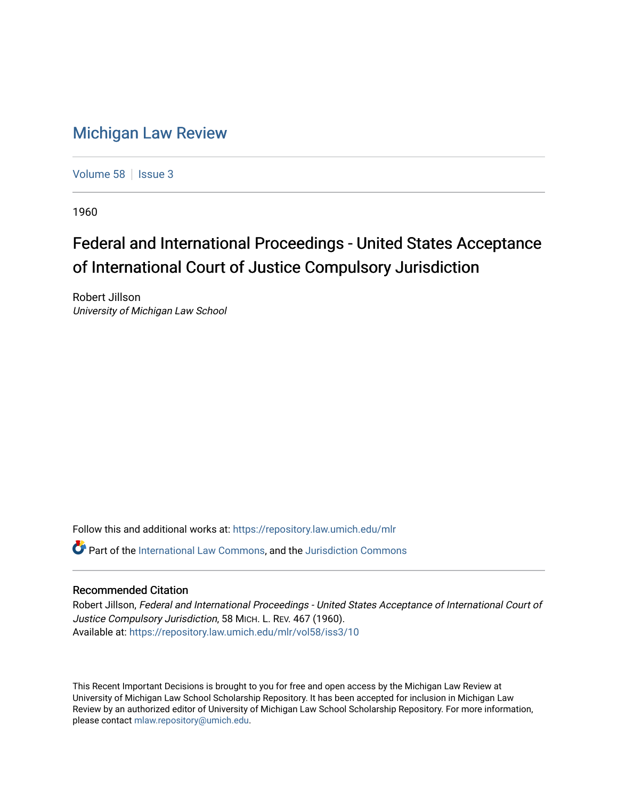## [Michigan Law Review](https://repository.law.umich.edu/mlr)

[Volume 58](https://repository.law.umich.edu/mlr/vol58) | [Issue 3](https://repository.law.umich.edu/mlr/vol58/iss3)

1960

## Federal and International Proceedings - United States Acceptance of International Court of Justice Compulsory Jurisdiction

Robert Jillson University of Michigan Law School

Follow this and additional works at: [https://repository.law.umich.edu/mlr](https://repository.law.umich.edu/mlr?utm_source=repository.law.umich.edu%2Fmlr%2Fvol58%2Fiss3%2F10&utm_medium=PDF&utm_campaign=PDFCoverPages) 

 $\bullet$  Part of the [International Law Commons,](http://network.bepress.com/hgg/discipline/609?utm_source=repository.law.umich.edu%2Fmlr%2Fvol58%2Fiss3%2F10&utm_medium=PDF&utm_campaign=PDFCoverPages) and the [Jurisdiction Commons](http://network.bepress.com/hgg/discipline/850?utm_source=repository.law.umich.edu%2Fmlr%2Fvol58%2Fiss3%2F10&utm_medium=PDF&utm_campaign=PDFCoverPages)

## Recommended Citation

Robert Jillson, Federal and International Proceedings - United States Acceptance of International Court of Justice Compulsory Jurisdiction, 58 MICH. L. REV. 467 (1960). Available at: [https://repository.law.umich.edu/mlr/vol58/iss3/10](https://repository.law.umich.edu/mlr/vol58/iss3/10?utm_source=repository.law.umich.edu%2Fmlr%2Fvol58%2Fiss3%2F10&utm_medium=PDF&utm_campaign=PDFCoverPages) 

This Recent Important Decisions is brought to you for free and open access by the Michigan Law Review at University of Michigan Law School Scholarship Repository. It has been accepted for inclusion in Michigan Law Review by an authorized editor of University of Michigan Law School Scholarship Repository. For more information, please contact [mlaw.repository@umich.edu.](mailto:mlaw.repository@umich.edu)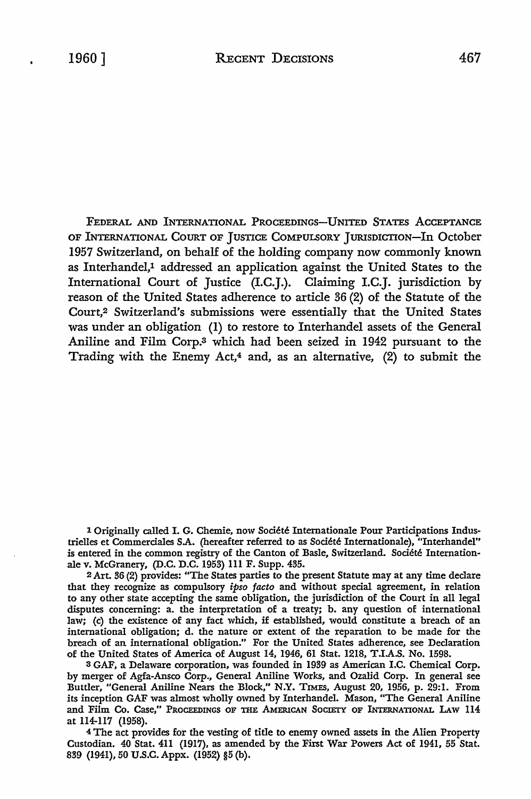FEDERAL AND INTERNATIONAL PROCEEDINGS-UNITED STATES ACCEPTANCE OF INTERNATIONAL COURT OF JUSTICE COMPULSORY JURISDICTION-In October 1957 Switzerland, on behalf of the holding company now commonly known as Interhandel,<sup>1</sup> addressed an application against the United States to the International Court of Justice (I.C.J.). Claiming I.C.J. jurisdiction by reason of the United States adherence to article 36 (2) of the Statute of the Court,2 Switzerland's submissions were essentially that the United States was under an obligation (I) to restore to Interhandel assets of the General Aniline and Film Corp.s which had been seized in 1942 pursuant to the Trading with the Enemy Act, $4$  and, as an alternative,  $(2)$  to submit the

1 Originally called I. G. Chemie, now Societe Internationale Pour Participations Industrielles et Commerciales S.A. (hereafter referred to as Societe Internationale), "Interhandel" is entered in the common registry of the Canton of Basie, Switzerland. Societe Internationale v. McGranery, (D.C. D.C. 1953) 111 F. Supp. 435.

<sup>2</sup>Art. 36 (2) provides: "The States parties to the present Statute may at any time declare that they recognize as compulsory *ipso facto* and without special agreement, in relation to any other state accepting the same obligation, the jurisdiction of the Court in all legal disputes concerning: a. the interpretation of a treaty; b. any question of international law; (c) the existence of any fact which, if established, would constitute a breach of an international obligation; d. the nature or extent of the reparation to be made for the breach of an international obligation." For the United States adherence, see Declaration of the United States of America of August 14, 1946, 61 Stat. 1218, T.I.A.S. No. 1598.

<sup>3</sup>GAF, a Delaware corporation, was founded in 1939 as American I.C. Chemical Corp. by merger of Agfa-Ansco Corp., General Aniline Works, and Ozalid Corp. In general see Buttler, "General Aniline Nears the Block," N.Y. TIMES, August 20, 1956, p. 29:1. From its inception GAF was almost wholly owned by Interhandel. Mason, "The General Aniline and Film Co. Case," PROCEEDINGS OF THE AMERICAN SOCIETY OF INTERNATIONAL LAW 114 at 114-117 (1958).

<sup>4</sup>The act provides for the vesting of title to enemy owned assets in the Alien Property Custodian. 40 Stat. 411 (1917), as amended by the Fust War Powers Act of 1941, 55 Stat. 839 (1941), 50 U.S.C. Appx. (1952) §5 (b).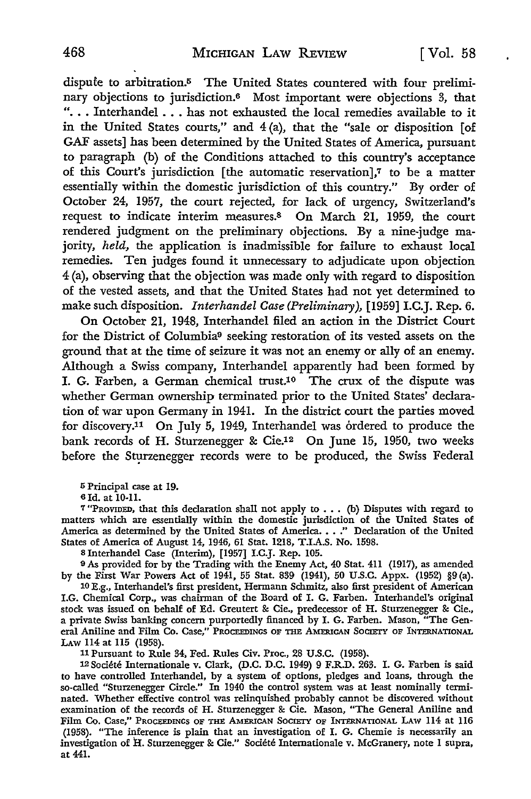dispufe to arbitration.5 The United States countered with four preliminary objections to jurisdiction.6 Most important were objections 3, that "... Interhandel ... has not exhausted the local remedies available to it in the United States courts," and  $4(a)$ , that the "sale or disposition [of GAF assets] has been determined by the United States of America, pursuant to paragraph (b) of the Conditions attached to this country's acceptance of this Court's jurisdiction [the automatic reservation],7 to be a matter essentially within the domestic jurisdiction of this country." By order of October 24, 1957, the court rejected, for lack of urgency, Switzerland's request to indicate interim measures.8 On March 21, 1959, the court rendered judgment on the preliminary objections. By a nine-judge majority, *held,* the application is inadmissible for failure to exhaust local remedies. Ten judges found it unnecessary to adjudicate upon objection 4 (a), observing that the objection was made only with regard to disposition of the vested assets, and that the United States had not yet determined to make such disposition. *Interhandel Case (Preliminary),* [1959] I.C.J. Rep. 6.

On October 21, 1948, Interhandel filed an action in the District Court for the District of Columbia9 seeking restoration of its vested assets on the ground that at the time of seizure it was not an enemy or ally of an enemy. Although a Swiss company, Interhandel apparently had been formed by I. G. Farben, a German chemical trust.10 The crux of the dispute was whether German ownership terminated prior to the United States' declaration of war upon Germany in 1941. In the district court the parties moved for discovery.11 On July *5,* 1949, Interhandel was ordered to produce the bank records of H. Sturzenegger & Cie.12 On June 15, 1950, two weeks before the Sturzenegger records were to be produced, the Swiss Federal

<sup>5</sup>Principal case at 19.

<sup>6</sup>Id. at 10-11.

<sup>7</sup>"PROVIDED, that this declaration shall not apply to .•. (b) Disputes with regard to matters which are essentially within the domestic jurisdiction of the United States of America as determined by the United States of America. . . ." Declaration of the United States of America of August 14, 1946, 61 Stat. 1218, T.I.A.S. No. 1598.

s Interhandel Case (Interim), [1957] I.C.J. Rep. 105.

9 As provided for by the Trading with the Enemy Act, 40 Stat. 411 (1917), as amended by the First War Powers Act of 1941, 55 Stat. 839 (1941), 50 U.S.C. Appx. (1952) §9 (a).

10 E.g., Interhandel's first president, Hermann Schmitz, also first president of American I.G. Chemical Corp., was chairman of the Board of I. G. Farben. Interhandel's original stock was issued on behalf of Ed. Greutert & Cie., predecessor of H. Sturzenegger & Cie., a private Swiss banking concern purportedly financed by I. G. Farben. Mason, "The General Aniline and Film Co. Case," PROCEEDINGS OF THE AMERICAN SOCIETY OF INTERNATIONAL LAW 114 at 115 (1958).

11 Pursuant to Rule 34, Fed. Rules Civ. Proc., 28 U.S.C. (1958).

12 Societe Internationale v. Clark, (D.C. D.C. 1949) 9 F.R.D. 263. I. G. Farben is said to have controlled Interhandel, by a system of options, pledges and loans, through the so-called "Sturzenegger Circle." In 1940 the control system was at least nominally terminated. Whether effective control was relinquished probably cannot be discovered without examination of the records of H. Sturzenegger &: Cie. Mason, "The General Aniline and Film Co. Case," PROCEEDINGS OF THE AMERICAN SOCIETY OF INTERNATIONAL LAW 114 at 116 (1958). "The inference is plain that an investigation of I. G. Chemie is necessarily an investigation of H. Sturzenegger & Cie." Société Internationale v. McGranery, note 1 supra, at 441.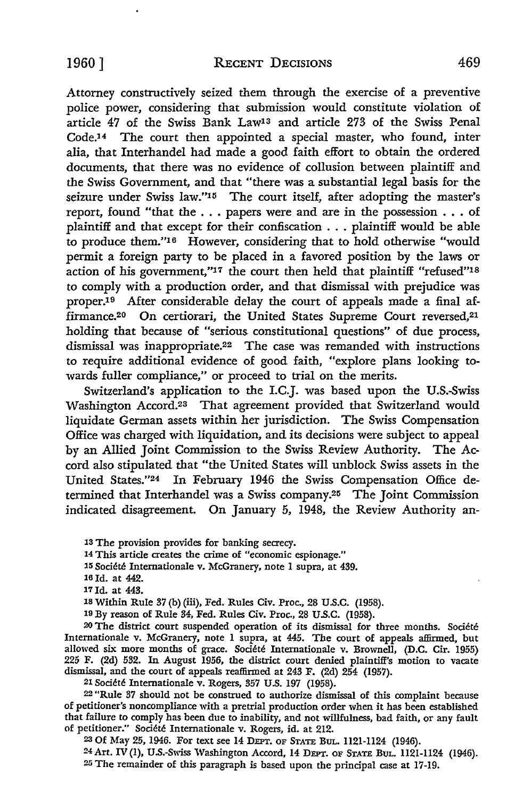Attorney constructively seized them through the exercise of a preventive police power, considering that submission would constitute violation of article 47 of the Swiss Bank Law<sup>13</sup> and article 273 of the Swiss Penal Code.<sup>14</sup> The court then appointed a special master, who found, inter alia, that Interhandel had made a good faith effort to obtain the ordered documents, that there was no evidence of collusion between plaintiff and the Swiss Government, and that "there was a substantial legal basis for the seizure under Swiss law."<sup>15</sup> The court itself, after adopting the master's report, found "that the ... papers were and are in the possession . . . of plaintiff and that except for their confiscation ... plaintiff would be able to produce them."16 However, considering that to hold otherwise "would permit a foreign party to be placed in a favored position by the laws or action of his government,"17 the court then held that plaintiff "refused"18 to comply with a production order, and that dismissal with prejudice was proper.<sup>19</sup> After considerable delay the court of appeals made a final affirmance.<sup>20</sup> On certiorari, the United States Supreme Court reversed,<sup>21</sup> holding that because of "serious constitutional questions" of due process, dismissal was inappropriate.22 The case was remanded with instructions to require additional evidence of good faith, "explore plans looking towards fuller compliance," or proceed to trial on the merits.

Switzerland's application to the I.C.J. was based upon the U.S.-Swiss Washington Accord.23 That agreement provided that Switzerland would liquidate German assets within her jurisdiction. The Swiss Compensation Office was charged with liquidation, and its decisions were subject to appeal by an Allied Joint Commission to the Swiss Review Authority. The Accord also stipulated that "the United States will unblock Swiss assets in the United States."24 In February 1946 the Swiss Compensation Office determined that Interhandel was a Swiss company.25 The Joint Commission indicated disagreement. On January 5, 1948, the Review Authority an-

13 The provision provides for banking secrecy.

14 This article creates the crime of "economic espionage."

**15** Societe Internationale v. McGranery, note I supra, at 439.

17 Id. at 443.

1s Within Rule 37 (b) (iii), Fed. Rules Civ. Proc., 28 U.S.C. (1958).

19 By reason of Rule 34, Fed. Rules Civ. Proc., 28 U.S.C. (1958).

<sup>20</sup>The district court suspended operation of its dismissal for three months. Societe Internationale v. McGranery, note 1 supra, at 445. The court of appeals affirmed, but allowed six more months of grace. Societe Internationale v. Brownell, (D.C. Cir. 1955) 225 F. (2d) 532. In August 1956, the district court denied plaintiff's motion to vacate dismissal, and the court of appeals reaffirmed at 243 F. (2d) 254 (1957).

21 Societe Internationale v. Rogers, 357 U.S. 197 (1958).

22 "Rule 37 should not be construed to authorize dismissal of this complaint because of petitioner's noncompliance with a pretrial production order when it has been established that failure to comply has been due to inability, and not willfulness, bad faith, or any fault of petitioner." Societe Internationale v. Rogers, id. at 212.

23 Of May 25, 1946. For text see 14 DEPT. OF STATE BuL. 1121-1124 (1946).

24 Art. IV (1), U.S.-Swiss Washington Accord, 14 DEPT. OF STATE BuL. 1121-1124 (1946). 25 The remainder of this paragraph is based upon the principal case at 17-19.

<sup>16</sup> Id. at 442.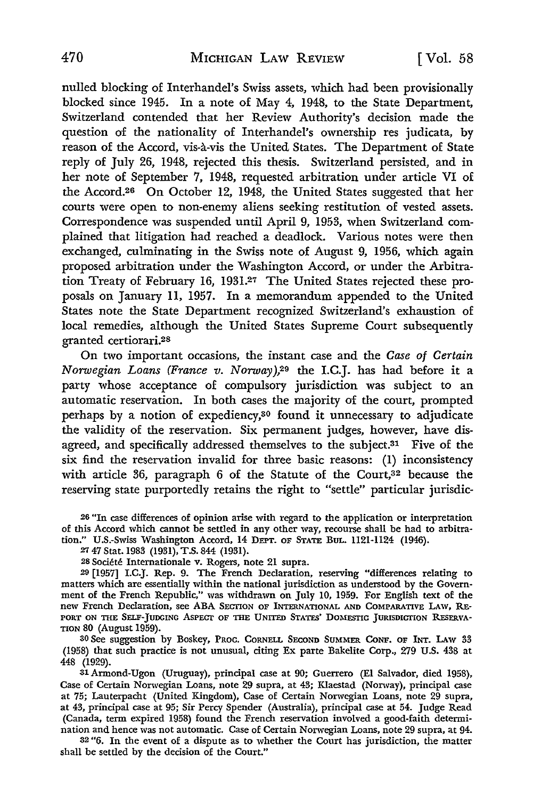nulled blocking of Interhandel's Swiss assets, which had been provisionally blocked since 1945. In a note of May 4, 1948, to the State Department, Switzerland contended that her Review Authority's decision made the question of the nationality of Interhandel's ownership res judicata, by reason of the Accord, vis-a-vis the United States. The Department of State reply of July 26, 1948, rejected this thesis. Switzerland persisted, and in her note of September 7, 1948, requested arbitration under article VI of the Accord.26 On October 12, 1948, the United States suggested that her courts were open to non-enemy aliens seeking restitution of vested assets. Correspondence was suspended until April 9, 1953, when Switzerland complained that litigation had reached a deadlock. Various notes were then exchanged, culminating in the Swiss note of August 9, 1956, which again proposed arbitration under the Washington Accord, or under the Arbitration Treaty of February 16, 1931.27 The United States rejected these proposals on January 11, 1957. In a memorandum appended to the United States note the State Department recognized Switzerland's exhaustion of local remedies, although the United States Supreme Court subsequently granted certiorari.2s

On two important occasions, the instant case and the *Case of Certain Norwegian Loans (France v. Norway)*,<sup>29</sup> the I.C.J. has had before it a party whose acceptance of compulsory jurisdiction was subject to an automatic reservation. In both cases the majority of the court, prompted perhaps by a notion of expediency,<sup>30</sup> found it unnecessary to adjudicate the validity of the reservation. Six permanent judges, however, have disagreed, and specifically addressed themselves to the subject.<sup>31</sup> Five of the six find the reservation invalid for three basic reasons: (1) inconsistency with article 36, paragraph 6 of the Statute of the Court,<sup>32</sup> because the reserving state purportedly retains the right to "settle" particular jurisdic-

26 "In case differences of opinion arise with regard to the application or interpretation of this Accord which cannot be settled in any other way, recourse shall be had to arbitration." U.S.-Swiss Washington Accord, 14 DEPT. OF STATE BuL. 1121-1124 (1946).

27 47 Stat. 1983 (1931), T.S. 844 (1931).

28 Societe Internationale v. Rogers, note 21 supra.

29 [1957] I.C.J. Rep. 9. The French Declaration, reserving "differences relating to matters which are essentially within the national jurisdiction as understood by the Government of the French Republic," was withdrawn on July IO, 1959. For English text of the new French Declaration, see ABA SECTION OF INTERNATIONAL AND COMPARATIVE LAW, RE-PORT ON THE SELF-JUDGING ASPECT OF THE UNITED STATES' DOMESTIC JURISDICTION RESERVA-TION 80 (August 1959).

30 See suggestion by Boskey, PROC. CORNELL SECOND SUMMER CoNF. OF INT. LAw 33 (1958) that such practice is not unusual, citing Ex parte Bakelite Corp., 279 U.S. 438 at 448 (1929).

31Armond-Ugon (Uruguay), principal case at 90; Guerrero (El Salvador, died 1958), Case of Certain Norwegian Loans, note 29 supra, at 43; Klaestad (Norway), principal case at 75; Lauterpacht (United Kingdom), Case of Certain Norwegian Loans, note 29 supra, at 43, principal case at 95; Sir Percy Spender (Australia), principal case at 54. Judge Read (Canada, term expired 1958) found the French reservation involved a good-faith determination and hence was not automatic. Case of Certain Nonvegian Loans, note 29 supra, at 94.

32 "6. In the event of a dispute as to whether the Court has jurisdiction, the matter shall be settled by the decision of the Court."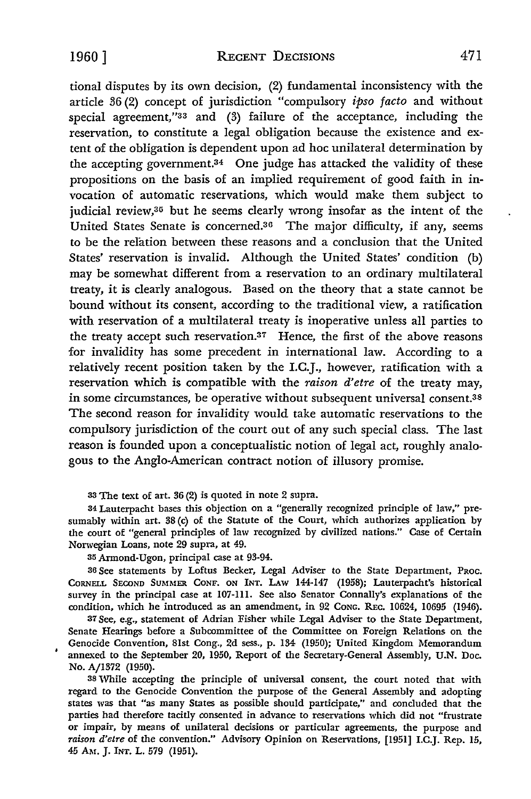tional disputes by its own decision, (2) fundamental inconsistency with the article 36 (2) concept of jurisdiction "compulsory *ipso facto* and without special agreement,"33 and (3) failure of the acceptance, including the reservation, to constitute a legal obligation because the existence and extent of the obligation is dependent upon ad hoc unilateral determination by the accepting government.34 One judge has attacked the validity of these propositions on the basis of an implied requirement of good faith in invocation of automatic reservations, which would make them subject to judicial review,<sup>35</sup> but he seems clearly wrong insofar as the intent of the United States Senate is concerned.<sup>36</sup> The major difficulty, if any, seems to be the relation between these reasons and a conclusion that the United States' reservation is invalid. Although the United States' condition (b) may be somewhat different from a reservation to an ordinary multilateral treaty, it is clearly analogous. Based on the theory that a state cannot be bound without its consent, according to the traditional view, a ratification with reservation of a multilateral treaty is inoperative unless all parties to the treaty accept such reservation.37 Hence, the first of the above reasons for invalidity has some precedent in international law. According to a relatively recent position taken by the I.C.J., however, ratification with a reservation which is compatible with the *raison d'etre* of the treaty may, in some circumstances, be operative without subsequent universal consent.38 The second reason for invalidity would take automatic reservations to the compulsory jurisdiction of the court out of any such special class. The last reason is founded upon a conceptualistic notion of legal act, roughly analogous to the Anglo-American contract notion of illusory promise.

33 The text of art. 36 (2) is quoted in note 2 supra.

34 Lauterpacht bases this objection on a "generally recognized principle of law," presumably within art. 38 (c) of the Statute of the Court, which authorizes application by the court of "general principles of law recognized by civilized nations." Case of Certain Norwegian Loans, note 29 supra, at 49.

35 Armond-Ugon, principal case at 93-94.

36 See statements by Loftus Becker, Legal Adviser to the State Department, PRoc. CORNELL SECOND SUMMER CONF. ON INT. LAW 144-147 (1958); Lauterpacht's historical survey in the principal case at 107-111. See also Senator Connally's explanations of the condition, which he introduced as an amendment, in 92 CoNG. REc. 10624, 10695 (1946).

37 See, e.g., statement of Adrian Fisher while Legal Adviser to the State Department, Senate Hearings before a Subcommittee of the Committee on Foreign Relations on the Genocide Convention, 81st Cong., 2d sess., p. 134 (1950); United Kingdom Memorandum annexed to the September 20, 1950, Report of the Secretary-General Assembly, U.N. Doc. No. A/1372 (1950).

38 While accepting the principle of universal consent, the court noted that with regard to the Genocide Convention the purpose of the General Assembly and adopting states was that "as many States as possible should participate," and concluded that the parties had therefore tacitly consented in advance to reservations which did not "frustrate or impair, by means of unilateral decisions or particular agreements, the purpose and *raison d'etre* of the convention." Advisory Opinion on Reservations, (1951) I.C.J. Rep. 15, 45 AM. J. INT. L. 579 (1951).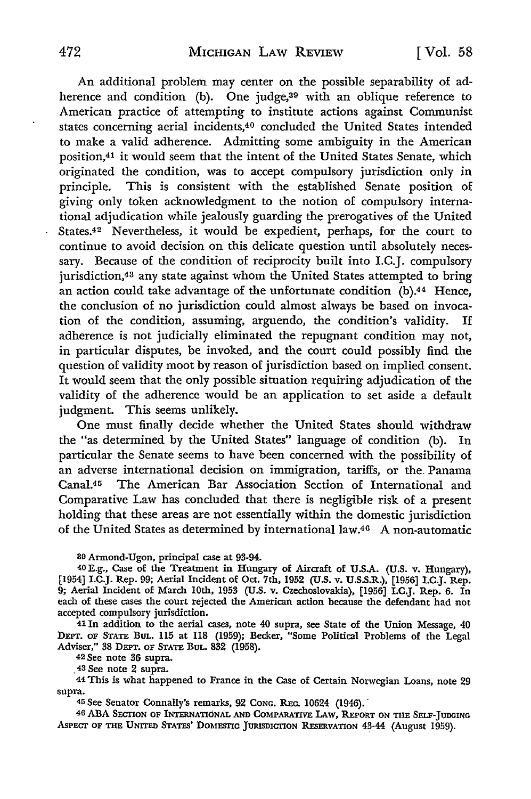An additional problem may center on the possible separability of adherence and condition (b). One judge,<sup>39</sup> with an oblique reference to American practice of attempting to institute actions against Communist states concerning aerial incidents,4° concluded the United States intended to make a valid adherence. Admitting some ambiguity in the American position,41 it would seem that the intent of the United States Senate, which originated the condition, was to accept compulsory jurisdiction only in principle. This is consistent with the established Senate position of giving only token acknowledgment to the notion of compulsory international adjudication while jealously guarding the prerogatives of the United States.42 Nevertheless, it would be expedient, perhaps, for the court to continue to avoid decision on this delicate question until absolutely necessary. Because of the condition of reciprocity built into I.C.J. compulsory jurisdiction,43 any state against whom the United States attempted to bring an action could take advantage of the unfortunate condition (b).44 Hence, the conclusion of no jurisdiction could almost always be based on invocation of the condition, assuming, arguendo, the condition's validity. If adherence is not judicially eliminated the repugnant condition may not, in particular disputes, be invoked, and the court could possibly find the question of validity moot by reason of jurisdiction based on implied consent. It would seem that the only possible situation requiring adjudication of the validity of the adherence would be an application to set aside a default judgment. This seems unlikely.

One must finally decide whether the United States should withdraw the "as determined by the United States" language of condition (b). In particular the Senate seems to have been concerned with the possibility of an adverse international decision on immigration, tariffs, or the. Panama Canal.45 The American Bar Association Section of International and Comparative Law has concluded that there is negligible risk of a present holding that these areas are not essentially within the domestic jurisdiction of the United States as determined by international law.40 A non-automatic

39 Armond-Ugon, principal case at 93-94.

40 E.g., Case of the Treatment in Hungary of Aircraft of U.S.A. (U.S. v. Hungary), [1954] I.C.J. Rep. 99; Aerial Incident of Oct. 7th, 1952 (U.S. v. U.S.S.R.), [1956] I.C.J. Rep. 9; Aerial Incident of March 10th, 1953 (U.S. v. Czechoslovakia), [1956] I.C.J. Rep. 6. In each of these cases the court rejected the American action because the defendant had not accepted compulsory jurisdiction.

41 In addition to the aerial cases, note 40 supra, see State of the Union Message, 40 DEPT. OF STATE BuL. 115 at 118 (1959); Becker, "Some Political Problems of the Legal Adviser," 38 DEPT. OF STATE BuL. 832 (1958).

42 See note 36 supra.

. 43 See note 2 supra.

44 This is what happened to France in the Case of Certain Norwegian Loans, note 29 supra.

45 See Senator Connally's remarks, 92 Conc. Rec. 10624 (1946).

40 ABA SECTION OF INTERNATIONAL AND CoMPARATIVE LAW, REPORT ON THE SELF-JUDGING ASPECT OF THE UNITED STATES' DOMESTIC JURISDICTION RESERVATION 43-44 (August 1959).